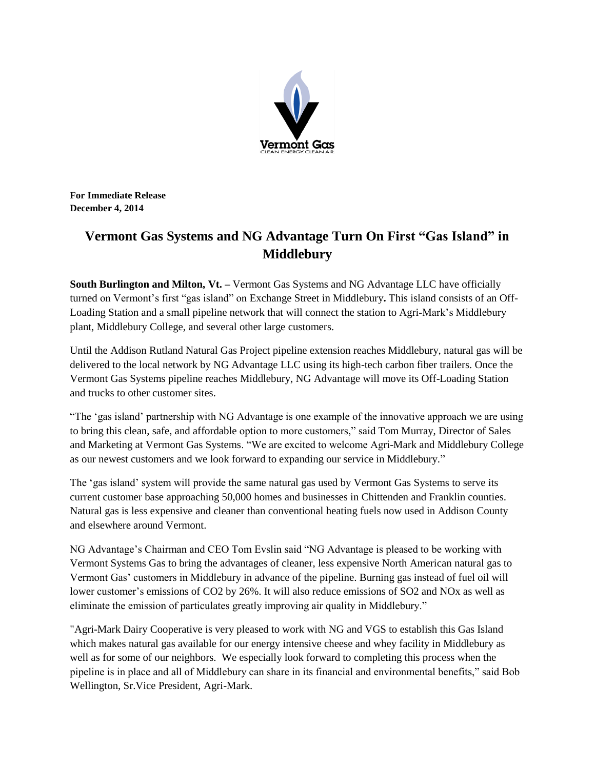

**For Immediate Release December 4, 2014**

# **Vermont Gas Systems and NG Advantage Turn On First "Gas Island" in Middlebury**

**South Burlington and Milton, Vt. –** Vermont Gas Systems and NG Advantage LLC have officially turned on Vermont's first "gas island" on Exchange Street in Middlebury**.** This island consists of an Off-Loading Station and a small pipeline network that will connect the station to Agri-Mark's Middlebury plant, Middlebury College, and several other large customers.

Until the Addison Rutland Natural Gas Project pipeline extension reaches Middlebury, natural gas will be delivered to the local network by NG Advantage LLC using its high-tech carbon fiber trailers. Once the Vermont Gas Systems pipeline reaches Middlebury, NG Advantage will move its Off-Loading Station and trucks to other customer sites.

"The 'gas island' partnership with NG Advantage is one example of the innovative approach we are using to bring this clean, safe, and affordable option to more customers," said Tom Murray, Director of Sales and Marketing at Vermont Gas Systems. "We are excited to welcome Agri-Mark and Middlebury College as our newest customers and we look forward to expanding our service in Middlebury."

The 'gas island' system will provide the same natural gas used by Vermont Gas Systems to serve its current customer base approaching 50,000 homes and businesses in Chittenden and Franklin counties. Natural gas is less expensive and cleaner than conventional heating fuels now used in Addison County and elsewhere around Vermont.

NG Advantage's Chairman and CEO Tom Evslin said "NG Advantage is pleased to be working with Vermont Systems Gas to bring the advantages of cleaner, less expensive North American natural gas to Vermont Gas' customers in Middlebury in advance of the pipeline. Burning gas instead of fuel oil will lower customer's emissions of CO2 by 26%. It will also reduce emissions of SO2 and NOx as well as eliminate the emission of particulates greatly improving air quality in Middlebury."

"Agri-Mark Dairy Cooperative is very pleased to work with NG and VGS to establish this Gas Island which makes natural gas available for our energy intensive cheese and whey facility in Middlebury as well as for some of our neighbors. We especially look forward to completing this process when the pipeline is in place and all of Middlebury can share in its financial and environmental benefits," said Bob Wellington, Sr.Vice President, Agri-Mark.